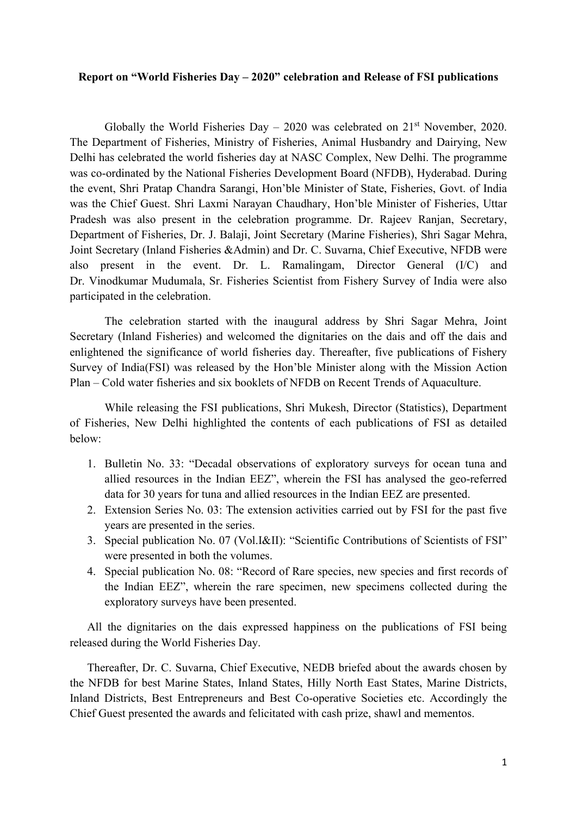## **Report on "World Fisheries Day – 2020" celebration and Release of FSI publications**

Globally the World Fisheries Day – 2020 was celebrated on  $21<sup>st</sup>$  November, 2020. The Department of Fisheries, Ministry of Fisheries, Animal Husbandry and Dairying, New Delhi has celebrated the world fisheries day at NASC Complex, New Delhi. The programme was co-ordinated by the National Fisheries Development Board (NFDB), Hyderabad. During the event, Shri Pratap Chandra Sarangi, Hon'ble Minister of State, Fisheries, Govt. of India was the Chief Guest. Shri Laxmi Narayan Chaudhary, Hon'ble Minister of Fisheries, Uttar Pradesh was also present in the celebration programme. Dr. Rajeev Ranjan, Secretary, Department of Fisheries, Dr. J. Balaji, Joint Secretary (Marine Fisheries), Shri Sagar Mehra, Joint Secretary (Inland Fisheries &Admin) and Dr. C. Suvarna, Chief Executive, NFDB were also present in the event. Dr. L. Ramalingam, Director General (I/C) and Dr. Vinodkumar Mudumala, Sr. Fisheries Scientist from Fishery Survey of India were also participated in the celebration.

The celebration started with the inaugural address by Shri Sagar Mehra, Joint Secretary (Inland Fisheries) and welcomed the dignitaries on the dais and off the dais and enlightened the significance of world fisheries day. Thereafter, five publications of Fishery Survey of India(FSI) was released by the Hon'ble Minister along with the Mission Action Plan – Cold water fisheries and six booklets of NFDB on Recent Trends of Aquaculture.

While releasing the FSI publications, Shri Mukesh, Director (Statistics), Department of Fisheries, New Delhi highlighted the contents of each publications of FSI as detailed below:

- 1. Bulletin No. 33: "Decadal observations of exploratory surveys for ocean tuna and allied resources in the Indian EEZ", wherein the FSI has analysed the geo-referred data for 30 years for tuna and allied resources in the Indian EEZ are presented.
- 2. Extension Series No. 03: The extension activities carried out by FSI for the past five years are presented in the series.
- 3. Special publication No. 07 (Vol.I&II): "Scientific Contributions of Scientists of FSI" were presented in both the volumes.
- 4. Special publication No. 08: "Record of Rare species, new species and first records of the Indian EEZ", wherein the rare specimen, new specimens collected during the exploratory surveys have been presented.

All the dignitaries on the dais expressed happiness on the publications of FSI being released during the World Fisheries Day.

Thereafter, Dr. C. Suvarna, Chief Executive, NEDB briefed about the awards chosen by the NFDB for best Marine States, Inland States, Hilly North East States, Marine Districts, Inland Districts, Best Entrepreneurs and Best Co-operative Societies etc. Accordingly the Chief Guest presented the awards and felicitated with cash prize, shawl and mementos.